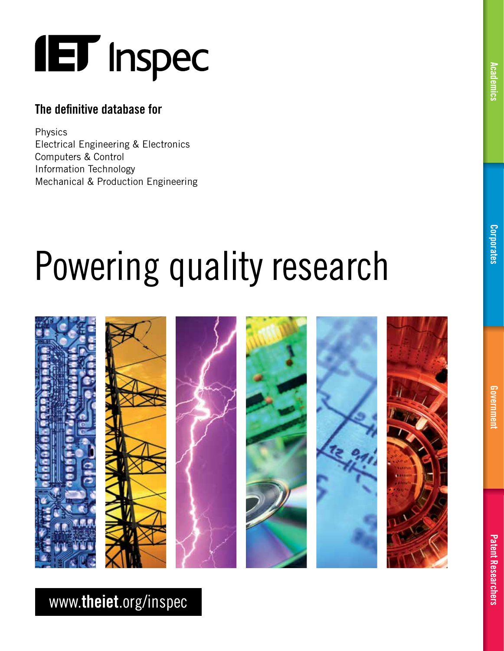# **IET** Inspec

### The definitive database for

Physics Electrical Engineering & Electronics Computers & Control Information Technology Mechanical & Production Engineering

# Powering quality research



## www.theiet.org/inspec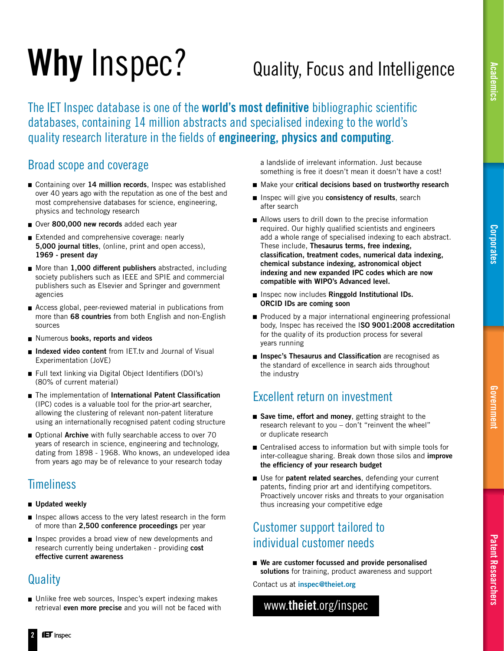## [Corporates](#page-16-0)

[Patent Researchers](#page-20-0)

**Patent Researchers** 

# Why Inspec?

## Quality, Focus and Intelligence

The IET Inspec database is one of the **world's most definitive** bibliographic scientific databases, containing 14 million abstracts and specialised indexing to the world's quality research literature in the fields of engineering, physics and computing.

### Broad scope and coverage

- Containing over 14 million records, Inspec was established over 40 years ago with the reputation as one of the best and most comprehensive databases for science, engineering, physics and technology research
- Over 800,000 new records added each year
- Extended and comprehensive coverage: nearly 5,000 journal titles, (online, print and open access), 1969 - present day
- More than 1,000 different publishers abstracted, including society publishers such as IEEE and SPIE and commercial publishers such as Elsevier and Springer and government agencies
- Access global, peer-reviewed material in publications from more than 68 countries from both English and non-English sources
- Numerous books, reports and videos
- Indexed video content from IET.tv and Journal of Visual Experimentation (JoVE)
- Full text linking via Digital Object Identifiers (DOI's) (80% of current material)
- The implementation of International Patent Classification (IPC) codes is a valuable tool for the prior-art searcher, allowing the clustering of relevant non-patent literature using an internationally recognised patent coding structure
- Optional Archive with fully searchable access to over 70 years of research in science, engineering and technology, dating from 1898 - 1968. Who knows, an undeveloped idea from years ago may be of relevance to your research today

### **Timeliness**

- Updated weekly
- Inspec allows access to the very latest research in the form of more than 2,500 conference proceedings per year
- Inspec provides a broad view of new developments and research currently being undertaken - providing cost effective current awareness

### **Quality**

Unlike free web sources, Inspec's expert indexing makes retrieval even more precise and you will not be faced with  a landslide of irrelevant information. Just because something is free it doesn't mean it doesn't have a cost!

- Make your critical decisions based on trustworthy research
- Inspec will give you consistency of results, search after search
- Allows users to drill down to the precise information required. Our highly qualified scientists and engineers add a whole range of specialised indexing to each abstract. These include, Thesaurus terms, free indexing, classification, treatment codes, numerical data indexing, chemical substance indexing, astronomical object indexing and new expanded IPC codes which are now compatible with WIPO's Advanced level.
- **Inspec now includes Ringgold Institutional IDs.** ORCID IDs are coming soon
- Produced by a major international engineering professional body, Inspec has received the ISO 9001:2008 accreditation for the quality of its production process for several years running
- **Inspec's Thesaurus and Classification** are recognised as the standard of excellence in search aids throughout the industry

### Excellent return on investment

- Save time, effort and money, getting straight to the research relevant to you – don't "reinvent the wheel" or duplicate research
- Centralised access to information but with simple tools for inter-colleague sharing. Break down those silos and *improve* the efficiency of your research budget
- Use for patent related searches, defending your current patents, finding prior art and identifying competitors. Proactively uncover risks and threats to your organisation thus increasing your competitive edge

### Customer support tailored to individual customer needs

■ We are customer focussed and provide personalised solutions for training, product awareness and support

Contact us at inspec@theiet.org

www.theiet.org/inspec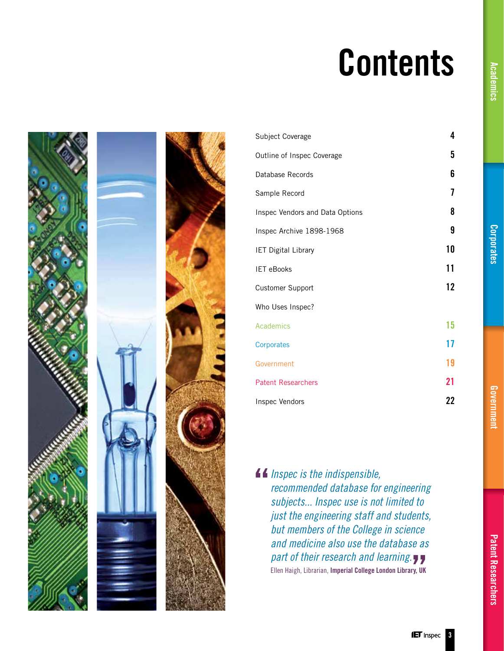## Contents





[Subject Coverage](#page-3-0) [Outline of Inspec Coverage](#page-4-0) [Database Records](#page-5-0) [Sample Record](#page-6-0) [Inspec Vendors and Data Options](#page-7-0) [Inspec Archive 1898-1968](#page-8-0) [IET Digital Library](#page-9-0) [IET eBooks](#page-10-0) [Customer Support](#page-11-0) Who Uses Inspec? [Academics](#page-14-0) [Corporates](#page-16-0) [Government](#page-18-0) [Patent Researchers](#page-20-0) [Inspec Vendors](#page-21-0) 

*Inspec is the indispensible, recommended database for engineering subjects... Inspec use is not limited to just the engineering staff and students, but members of the College in science and medicine also use the database as part of their research and learning.* Ellen Haigh, Librarian, Imperial College London Library, UK

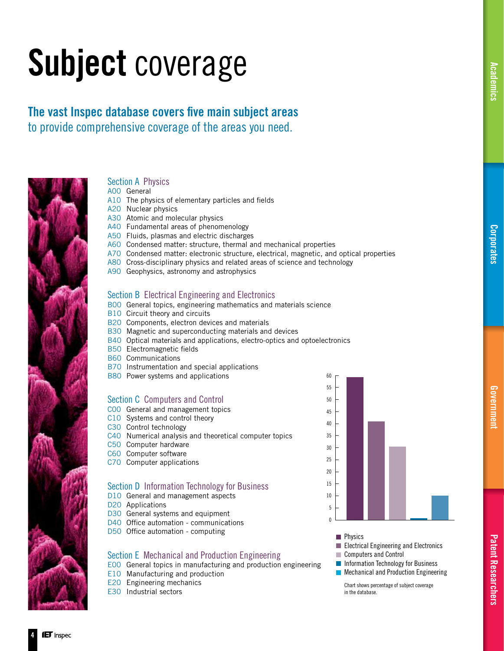## <span id="page-3-0"></span>Subject coverage

The vast Inspec database covers five main subject areas to provide comprehensive coverage of the areas you need.



### Section A Physics

A00 General

- A10 The physics of elementary particles and fields
- A20 Nuclear physics
- A30 Atomic and molecular physics
- A40 Fundamental areas of phenomenology
- A50 Fluids, plasmas and electric discharges
- A60 Condensed matter: structure, thermal and mechanical properties
- A70 Condensed matter: electronic structure, electrical, magnetic, and optical properties
- A80 Cross-disciplinary physics and related areas of science and technology
- A90 Geophysics, astronomy and astrophysics

### Section B Electrical Engineering and Electronics

- B00 General topics, engineering mathematics and materials science
- B10 Circuit theory and circuits
- B20 Components, electron devices and materials
- B30 Magnetic and superconducting materials and devices
- B40 Optical materials and applications, electro-optics and optoelectronics
- B50 Electromagnetic fields
- B60 Communications
- B70 Instrumentation and special applications
- B80 Power systems and applications

### Section C Computers and Control

- C00 General and management topics
- C10 Systems and control theory
- C30 Control technology
- C40 Numerical analysis and theoretical computer topics
- C50 Computer hardware
- C60 Computer software
- C70 Computer applications

### Section D Information Technology for Business

- D<sub>10</sub> General and management aspects
- D20 Applications
- D30 General systems and equipment
- D40 Office automation communications
- D50 Office automation computing

### Section E Mechanical and Production Engineering

E00 General topics in manufacturing and production engineering

- E10 Manufacturing and production
- E20 Engineering mechanics
- E30 Industrial sectors



- **Physics**
- **Electrical Engineering and Electronics** Computers and Control
- **Information Technology for Business**
- **Mechanical and Production Engineering**

 Chart shows percentage of subject coverage in the database.

4

[Government](#page-18-0)

Governmen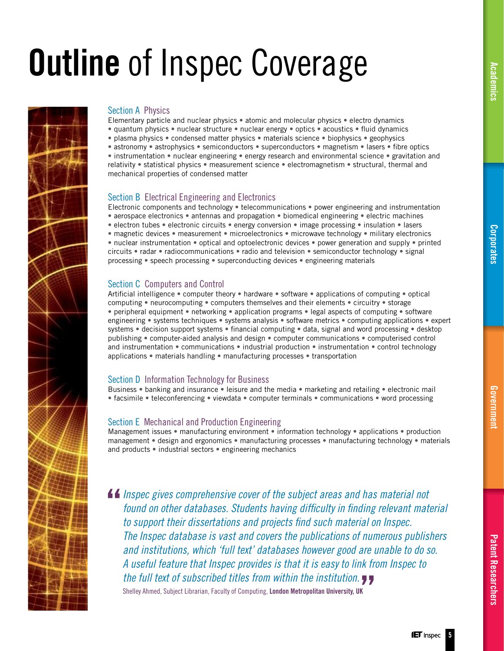## <span id="page-4-0"></span>**Outline** of Inspec Coverage



### Section A Physics

Elementary particle and nuclear physics • atomic and molecular physics • electro dynamics • quantum physics • nuclear structure • nuclear energy • optics • acoustics • fluid dynamics • plasma physics • condensed matter physics • materials science • biophysics • geophysics

• astronomy • astrophysics • semiconductors • superconductors • magnetism • lasers • fibre optics

• instrumentation • nuclear engineering • energy research and environmental science • gravitation and relativity • statistical physics • measurement science • electromagnetism • structural, thermal and mechanical properties of condensed matter

### Section B Electrical Engineering and Electronics

Electronic components and technology • telecommunications • power engineering and instrumentation • aerospace electronics • antennas and propagation • biomedical engineering • electric machines • electron tubes • electronic circuits • energy conversion • image processing • insulation • lasers • magnetic devices • measurement • microelectronics • microwave technology • military electronics • nuclear instrumentation • optical and optoelectronic devices • power generation and supply • printed circuits • radar • radiocommunications • radio and television • semiconductor technology • signal processing • speech processing • superconducting devices • engineering materials

### Section C Computers and Control

Artificial intelligence • computer theory • hardware • software • applications of computing • optical computing • neurocomputing • computers themselves and their elements • circuitry • storage • peripheral equipment • networking • application programs • legal aspects of computing • software engineering • systems techniques • systems analysis • software metrics • computing applications • expert systems • decision support systems • financial computing • data, signal and word processing • desktop publishing • computer-aided analysis and design • computer communications • computerised control and instrumentation • communications • industrial production • instrumentation • control technology applications • materials handling • manufacturing processes • transportation

### Section D Information Technology for Business

Business • banking and insurance • leisure and the media • marketing and retailing • electronic mail • facsimile • teleconferencing • viewdata • computer terminals • communications • word processing

### Section E Mechanical and Production Engineering

Management issues • manufacturing environment • information technology • applications • production management • design and ergonomics • manufacturing processes • manufacturing technology • materials and products • industrial sectors • engineering mechanics

*Inspec gives comprehensive cover of the subject areas and has material not found on other databases. Students having difficulty in finding relevant material to support their dissertations and projects find such material on Inspec. The Inspec database is vast and covers the publications of numerous publishers and institutions, which 'full text' databases however good are unable to do so. A useful feature that Inspec provides is that it is easy to link from Inspec to the full text of subscribed titles from within the institution.* 

Shelley Ahmed, Subject Librarian, Faculty of Computing, London Metropolitan University, UK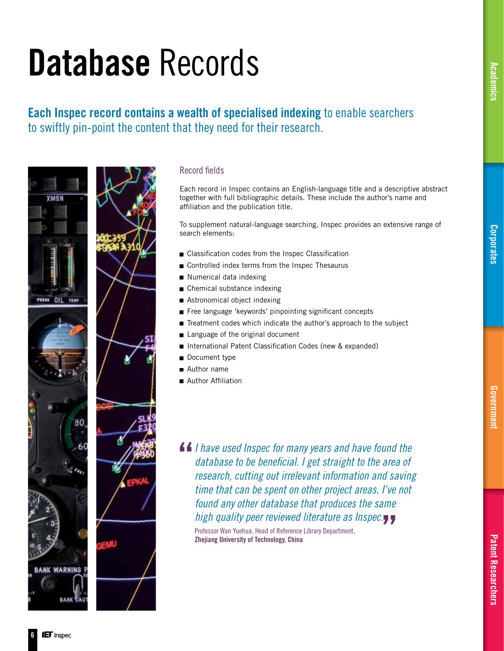### <span id="page-5-0"></span>Each Inspec record contains a wealth of specialised indexing to enable searchers to swiftly pin-point the content that they need for their research.



### Record fields

Each record in Inspec contains an English-language title and a descriptive abstract together with full bibliographic details. These include the author's name and affiliation and the publication title.

To supplement natural-language searching, Inspec provides an extensive range of search elements:

- $\blacksquare$  Classification codes from the Inspec Classification
- Controlled index terms from the Inspec Thesaurus
- Numerical data indexing
- Chemical substance indexing
- Astronomical object indexing
- $\blacksquare$  Free language 'keywords' pinpointing significant concepts
- Treatment codes which indicate the author's approach to the subject
- Language of the original document
- International Patent Classification Codes (new & expanded)
- Document type
- Author name
- **Author Affiliation**
- *I have used Inspec for many years and have found the database to be beneficial. I get straight to the area of research, cutting out irrelevant information and saving time that can be spent on other project areas. I've not found any other database that produces the same high quality peer reviewed literature as Inspec.* Professor Wan Yuehua, Head of Reference Library Department, Zhejiang University of Technology, China

6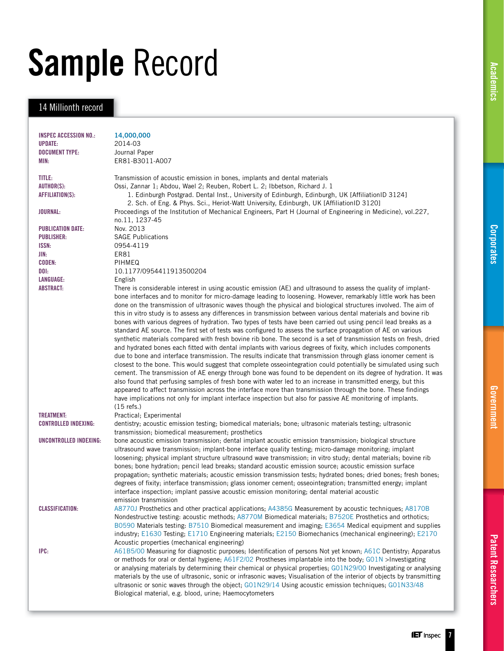# <span id="page-6-0"></span>Sample Record

### 14 Millionth record

| <b>INSPEC ACCESSION NO.:</b> | 14,000,000                                                                                                                                                       |
|------------------------------|------------------------------------------------------------------------------------------------------------------------------------------------------------------|
| <b>UPDATE:</b>               | 2014-03                                                                                                                                                          |
| <b>DOCUMENT TYPE:</b>        | Journal Paper                                                                                                                                                    |
| MIN:                         | ER81-B3011-A007                                                                                                                                                  |
|                              |                                                                                                                                                                  |
| TITLE:                       | Transmission of acoustic emission in bones, implants and dental materials                                                                                        |
| <b>AUTHOR(S):</b>            | Ossi, Zannar 1; Abdou, Wael 2; Reuben, Robert L. 2; Ibbetson, Richard J. 1                                                                                       |
| AFFILIATION(S):              | 1. Edinburgh Postgrad. Dental Inst., University of Edinburgh, Edinburgh, UK [AffiliationID 3124]                                                                 |
|                              | 2. Sch. of Eng. & Phys. Sci., Heriot-Watt University, Edinburgh, UK [AffiliationID 3120]                                                                         |
| <b>JOURNAL:</b>              | Proceedings of the Institution of Mechanical Engineers, Part H (Journal of Engineering in Medicine), vol.227,                                                    |
|                              | no.11, 1237-45                                                                                                                                                   |
| <b>PUBLICATION DATE:</b>     | Nov. 2013                                                                                                                                                        |
| <b>PUBLISHER:</b>            | <b>SAGE Publications</b>                                                                                                                                         |
| ISSN:                        | 0954-4119                                                                                                                                                        |
| JIN:                         | ER81                                                                                                                                                             |
| <b>CODEN:</b>                | PIHMEQ                                                                                                                                                           |
| DOI:                         | 10.1177/0954411913500204                                                                                                                                         |
| LANGUAGE:                    | English                                                                                                                                                          |
| <b>ABSTRACT:</b>             | There is considerable interest in using acoustic emission (AE) and ultrasound to assess the quality of implant-                                                  |
|                              | bone interfaces and to monitor for micro-damage leading to loosening. However, remarkably little work has been                                                   |
|                              | done on the transmission of ultrasonic waves though the physical and biological structures involved. The aim of                                                  |
|                              | this in vitro study is to assess any differences in transmission between various dental materials and bovine rib                                                 |
|                              | bones with various degrees of hydration. Two types of tests have been carried out using pencil lead breaks as a                                                  |
|                              | standard AE source. The first set of tests was configured to assess the surface propagation of AE on various                                                     |
|                              | synthetic materials compared with fresh bovine rib bone. The second is a set of transmission tests on fresh, dried                                               |
|                              | and hydrated bones each fitted with dental implants with various degrees of fixity, which includes components                                                    |
|                              | due to bone and interface transmission. The results indicate that transmission through glass ionomer cement is                                                   |
|                              | closest to the bone. This would suggest that complete osseointegration could potentially be simulated using such                                                 |
|                              | cement. The transmission of AE energy through bone was found to be dependent on its degree of hydration. It was                                                  |
|                              | also found that perfusing samples of fresh bone with water led to an increase in transmitted energy, but this                                                    |
|                              | appeared to affect transmission across the interface more than transmission through the bone. These findings                                                     |
|                              | have implications not only for implant interface inspection but also for passive AE monitoring of implants.                                                      |
|                              | $(15$ refs.)                                                                                                                                                     |
| <b>TREATMENT:</b>            | Practical; Experimental                                                                                                                                          |
| <b>CONTROLLED INDEXING:</b>  | dentistry; acoustic emission testing; biomedical materials; bone; ultrasonic materials testing; ultrasonic                                                       |
|                              | transmission; biomedical measurement; prosthetics                                                                                                                |
| UNCONTROLLED INDEXING:       | bone acoustic emission transmission; dental implant acoustic emission transmission; biological structure                                                         |
|                              | ultrasound wave transmission; implant-bone interface quality testing; micro-damage monitoring; implant                                                           |
|                              | loosening; physical implant structure ultrasound wave transmission; in vitro study; dental materials; bovine rib                                                 |
|                              | bones; bone hydration; pencil lead breaks; standard acoustic emission source; acoustic emission surface                                                          |
|                              | propagation; synthetic materials; acoustic emission transmission tests; hydrated bones; dried bones; fresh bones;                                                |
|                              | degrees of fixity; interface transmission; glass ionomer cement; osseointegration; transmitted energy; implant                                                   |
|                              | interface inspection; implant passive acoustic emission monitoring; dental material acoustic                                                                     |
|                              | emission transmission                                                                                                                                            |
| <b>CLASSIFICATION:</b>       | A8770J Prosthetics and other practical applications; A4385G Measurement by acoustic techniques; A8170B                                                           |
|                              | Nondestructive testing: acoustic methods; A8770M Biomedical materials; B7520E Prosthetics and orthotics;                                                         |
|                              | B0590 Materials testing: B7510 Biomedical measurement and imaging; E3654 Medical equipment and supplies                                                          |
|                              | industry; E1630 Testing; E1710 Engineering materials; E2150 Biomechanics (mechanical engineering); E2170                                                         |
|                              | Acoustic properties (mechanical engineering)                                                                                                                     |
|                              | A61B5/00 Measuring for diagnostic purposes; Identification of persons Not yet known; A61C Dentistry; Apparatus                                                   |
| IPC:                         |                                                                                                                                                                  |
|                              | or methods for oral or dental hygiene; A61F2/02 Prostheses implantable into the body; G01N >Investigating                                                        |
|                              | or analysing materials by determining their chemical or physical properties; GO1N29/00 Investigating or analysing                                                |
|                              | materials by the use of ultrasonic, sonic or infrasonic waves; Visualisation of the interior of objects by transmitting                                          |
|                              | ultrasonic or sonic waves through the object; GO1N29/14 Using acoustic emission techniques; GO1N33/48<br>Biological material, e.g. blood, urine; Haemocytometers |
|                              |                                                                                                                                                                  |
|                              |                                                                                                                                                                  |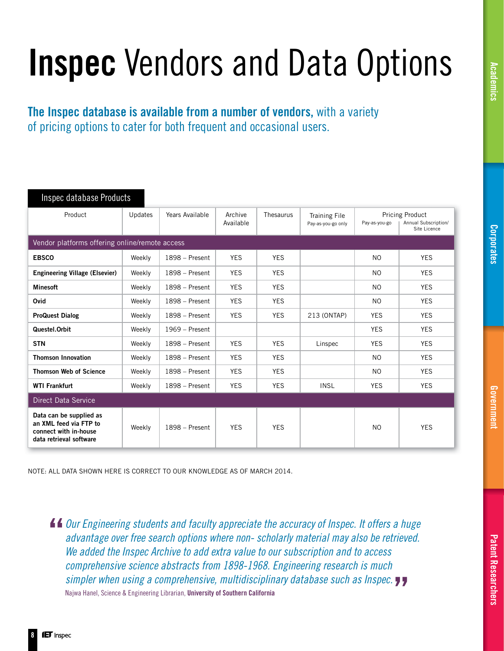## <span id="page-7-0"></span>Inspec Vendors and Data Options

The Inspec database is available from a number of vendors, with a variety of pricing options to cater for both frequent and occasional users.

| Inspec database Products                                                                              |         |                  |                      |            |                                            |                                                                                 |            |  |  |
|-------------------------------------------------------------------------------------------------------|---------|------------------|----------------------|------------|--------------------------------------------|---------------------------------------------------------------------------------|------------|--|--|
| Product                                                                                               | Updates | Years Available  | Archive<br>Available | Thesaurus  | <b>Training File</b><br>Pay-as-you-go only | <b>Pricing Product</b><br>Annual Subscription/<br>Pay-as-you-go<br>Site Licence |            |  |  |
| Vendor platforms offering online/remote access                                                        |         |                  |                      |            |                                            |                                                                                 |            |  |  |
| <b>EBSCO</b>                                                                                          | Weekly  | 1898 – Present   | <b>YES</b>           | <b>YES</b> |                                            | NO.                                                                             | <b>YES</b> |  |  |
| <b>Engineering Village (Elsevier)</b>                                                                 | Weekly  | $1898 -$ Present | <b>YES</b>           | <b>YES</b> |                                            | NO.                                                                             | <b>YES</b> |  |  |
| <b>Minesoft</b>                                                                                       | Weekly  | $1898 -$ Present | <b>YES</b>           | <b>YES</b> |                                            | NO.                                                                             | <b>YES</b> |  |  |
| Ovid                                                                                                  | Weekly  | $1898 -$ Present | <b>YES</b>           | <b>YES</b> |                                            | NO.                                                                             | <b>YES</b> |  |  |
| <b>ProQuest Dialog</b>                                                                                | Weekly  | $1898 -$ Present | <b>YES</b>           | <b>YES</b> | 213 (ONTAP)                                | <b>YES</b>                                                                      | <b>YES</b> |  |  |
| Questel.Orbit                                                                                         | Weekly  | $1969$ – Present |                      |            |                                            | <b>YES</b>                                                                      | <b>YES</b> |  |  |
| <b>STN</b>                                                                                            | Weekly  | 1898 - Present   | <b>YES</b>           | <b>YES</b> | Linspec                                    | <b>YES</b>                                                                      | <b>YES</b> |  |  |
| <b>Thomson Innovation</b>                                                                             | Weekly  | 1898 – Present   | <b>YES</b>           | <b>YES</b> |                                            | N <sub>O</sub>                                                                  | <b>YES</b> |  |  |
| <b>Thomson Web of Science</b>                                                                         | Weekly  | 1898 – Present   | <b>YES</b>           | <b>YES</b> |                                            | NO.                                                                             | <b>YES</b> |  |  |
| <b>WTI Frankfurt</b>                                                                                  | Weekly  | 1898 – Present   | <b>YES</b>           | <b>YES</b> | <b>INSL</b>                                | <b>YES</b>                                                                      | <b>YES</b> |  |  |
| Direct Data Service                                                                                   |         |                  |                      |            |                                            |                                                                                 |            |  |  |
| Data can be supplied as<br>an XML feed via FTP to<br>connect with in-house<br>data retrieval software | Weekly  | 1898 – Present   | <b>YES</b>           | <b>YES</b> |                                            | N <sub>O</sub>                                                                  | <b>YES</b> |  |  |

NOTE: ALL DATA SHOWN HERE IS CORRECT TO OUR KNOWLEDGE AS OF MARCH 2014.

*Our Engineering students and faculty appreciate the accuracy of Inspec. It offers a huge advantage over free search options where non- scholarly material may also be retrieved. We added the Inspec Archive to add extra value to our subscription and to access comprehensive science abstracts from 1898-1968. Engineering research is much simpler when using a comprehensive, multidisciplinary database such as Inspec.* Najwa Hanel, Science & Engineering Librarian, University of Southern California

8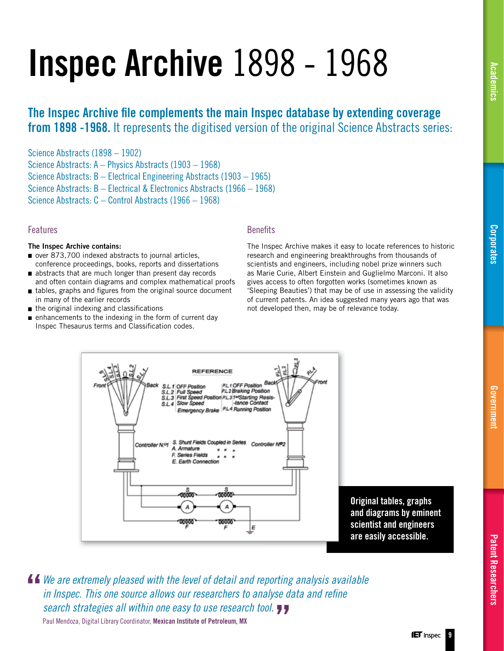# <span id="page-8-0"></span>Inspec Archive 1898 - 1968

### The Inspec Archive file complements the main Inspec database by extending coverage from 1898 -1968. It represents the digitised version of the original Science Abstracts series:

Science Abstracts (1898 – 1902)

Science Abstracts: A – Physics Abstracts (1903 – 1968)

Science Abstracts: B – Electrical Engineering Abstracts (1903 – 1965)

Science Abstracts: B – Electrical & Electronics Abstracts (1966 – 1968)

Science Abstracts: C – Control Abstracts (1966 – 1968)

### Features

### The Inspec Archive contains:

- over 873,700 indexed abstracts to journal articles, conference proceedings, books, reports and dissertations
- abstracts that are much longer than present day records and often contain diagrams and complex mathematical proofs
- $\blacksquare$  tables, graphs and figures from the original source document in many of the earlier records
- $\blacksquare$  the original indexing and classifications
- $\blacksquare$  enhancements to the indexing in the form of current day Inspec Thesaurus terms and Classification codes.

### **Benefits**

The Inspec Archive makes it easy to locate references to historic research and engineering breakthroughs from thousands of scientists and engineers, including nobel prize winners such as Marie Curie, Albert Einstein and Guglielmo Marconi. It also gives access to often forgotten works (sometimes known as 'Sleeping Beauties') that may be of use in assessing the validity of current patents. An idea suggested many years ago that was not developed then, may be of relevance today.



*We are extremely pleased with the level of detail and reporting analysis available in Inspec. This one source allows our researchers to analyse data and refine search strategies all within one easy to use research tool.* Paul Mendoza, Digital Library Coordinator, Mexican Institute of Petroleum, MX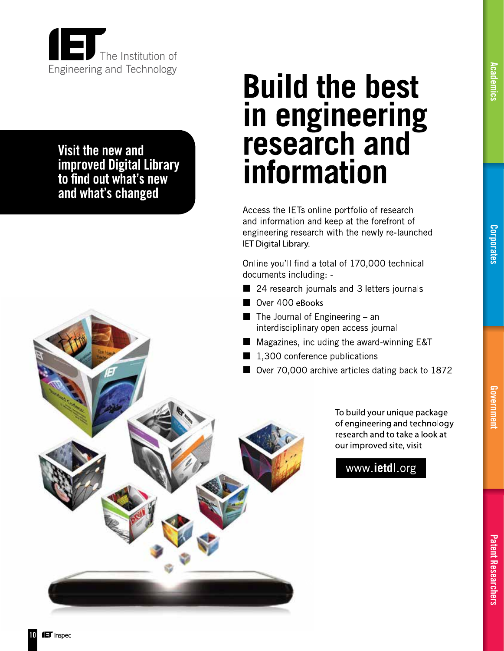<span id="page-9-0"></span>

Visit the new and improved Digital Library<br>to find out what's new and what's changed

## **Build the best** in engineering<br>research and information

Access the IETs online portfolio of research and information and keep at the forefront of engineering research with the newly re-launched **IET Digital Library.** 

Online you'll find a total of 170,000 technical documents including: -

- 24 research journals and 3 letters journals
- Over 400 eBooks
- $\blacksquare$  The Journal of Engineering an interdisciplinary open access journal
- Magazines, including the award-winning E&T
	- 1,300 conference publications
- Over 70,000 archive articles dating back to 1872

To build your unique package of engineering and technology research and to take a look at

our improved site, visit

www.ietdl.org

[Corporates](#page-16-0)

[Academics](#page-14-0)

**Academics** 

### **IET** Inspec

10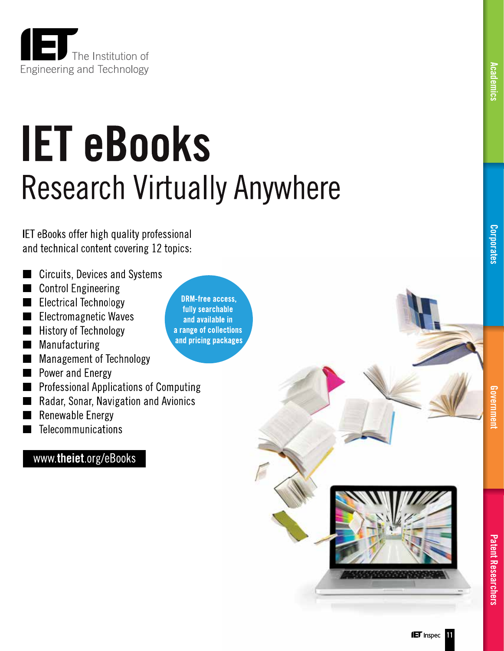<span id="page-10-0"></span>

# **IET eBooks Research Virtually Anywhere**

IET eBooks offer high quality professional and technical content covering 12 topics:

- **Circuits, Devices and Systems**
- **Control Engineering**
- **Electrical Technology**
- **Electromagnetic Waves**
- **History of Technology**
- Manufacturing
- **Management of Technology**
- Power and Energy
- **Professional Applications of Computing**
- Radar, Sonar, Navigation and Avionics
- **Renewable Energy**
- Telecommunications

### www.theiet.org/eBooks

**DRM-free access,** fully searchable and available in a range of collections and pricing packages

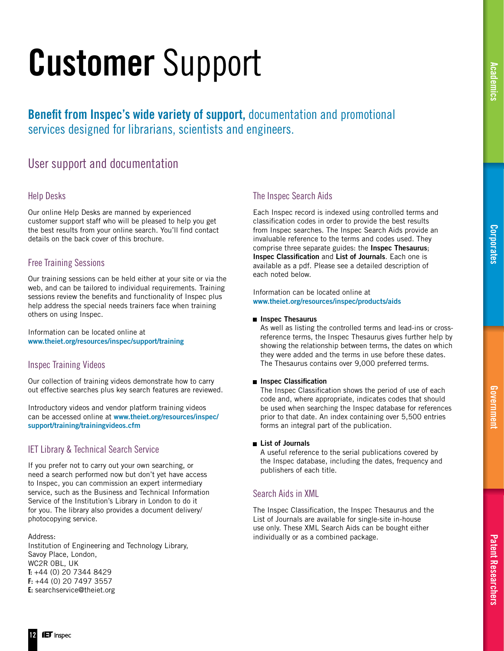[Patent Researchers](#page-20-0)

**Patent Researchers** 

<span id="page-11-0"></span>Benefit from Inspec's wide variety of support, documentation and promotional services designed for librarians, scientists and engineers.

### User support and documentation

### Help Desks

Our online Help Desks are manned by experienced customer support staff who will be pleased to help you get the best results from your online search. You'll find contact details on the back cover of this brochure.

### Free Training Sessions

Our training sessions can be held either at your site or via the web, and can be tailored to individual requirements. Training sessions review the benefits and functionality of Inspec plus help address the special needs trainers face when training others on using Inspec.

Information can be located online at www.theiet.org/resources/inspec/support/training

### Inspec Training Videos

Our collection of training videos demonstrate how to carry out effective searches plus key search features are reviewed.

Introductory videos and vendor platform training videos can be accessed online at www.theiet.org/resources/inspec/ support/training/trainingvideos.cfm

### IET Library & Technical Search Service

If you prefer not to carry out your own searching, or need a search performed now but don't yet have access to Inspec, you can commission an expert intermediary service, such as the Business and Technical Information Service of the Institution's Library in London to do it for you. The library also provides a document delivery/ photocopying service.

Address:

Institution of Engineering and Technology Library, Savoy Place, London, WC2R 0BL, UK T: +44 (0) 20 7344 8429 F: +44 (0) 20 7497 3557 E: searchservice@theiet.org

### The Inspec Search Aids

Each Inspec record is indexed using controlled terms and classification codes in order to provide the best results from Inspec searches. The Inspec Search Aids provide an invaluable reference to the terms and codes used. They comprise three separate guides: the Inspec Thesaurus; Inspec Classification and List of Journals. Each one is available as a pdf. Please see a detailed description of each noted below.

Information can be located online at www.theiet.org/resources/inspec/products/aids

### **n** Inspec Thesaurus

 As well as listing the controlled terms and lead-ins or cross reference terms, the Inspec Thesaurus gives further help by showing the relationship between terms, the dates on which they were added and the terms in use before these dates. The Thesaurus contains over 9,000 preferred terms.

### **Inspec Classification**

The Inspec Classification shows the period of use of each code and, where appropriate, indicates codes that should be used when searching the Inspec database for references prior to that date. An index containing over 5,500 entries forms an integral part of the publication.

### **List of Journals**

 A useful reference to the serial publications covered by the Inspec database, including the dates, frequency and publishers of each title.

### Search Aids in XML

The Inspec Classification, the Inspec Thesaurus and the List of Journals are available for single-site in-house use only. These XML Search Aids can be bought either individually or as a combined package.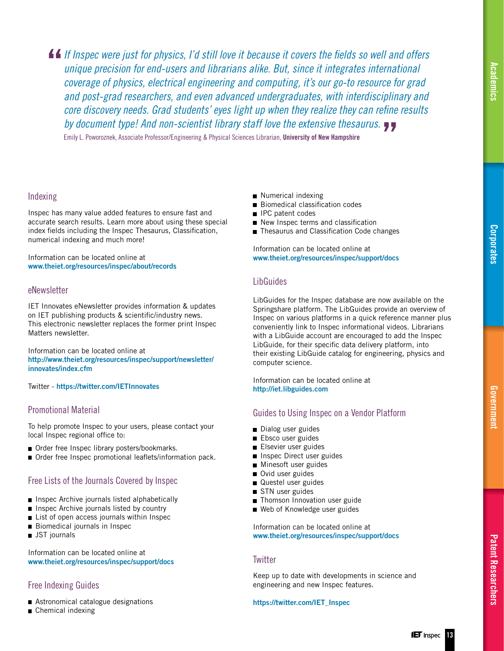**If** If Inspec were just for physics, I'd still love it because it covers the fields so well and offers *unique precision for end-users and librarians alike. But, since it integrates international coverage of physics, electrical engineering and computing, it's our go-to resource for grad and post-grad researchers, and even advanced undergraduates, with interdisciplinary and core discovery needs. Grad students' eyes light up when they realize they can refine results by document type! And non-scientist library staff love the extensive thesaurus.*

Emily L. Poworoznek, Associate Professor/Engineering & Physical Sciences Librarian, University of New Hampshire

### Indexing

Inspec has many value added features to ensure fast and accurate search results. Learn more about using these special index fields including the Inspec Thesaurus, Classification, numerical indexing and much more!

Information can be located online at www.theiet.org/resources/inspec/about/records

### eNewsletter

IET Innovates eNewsletter provides information & updates on IET publishing products & scientific/industry news. This electronic newsletter replaces the former print Inspec Matters newsletter.

Information can be located online at http://www.theiet.org/resources/inspec/support/newsletter/ innovates/index.cfm

Twitter - https://twitter.com/IETInnovates

### Promotional Material

To help promote Inspec to your users, please contact your local Inspec regional office to:

- Order free Inspec library posters/bookmarks.
- Order free Inspec promotional leaflets/information pack.

### Free Lists of the Journals Covered by Inspec

- **Inspec Archive journals listed alphabetically**
- $\blacksquare$  Inspec Archive journals listed by country
- **List of open access journals within Inspec**
- Biomedical journals in Inspec
- **JST** journals

Information can be located online at www.theiet.org/resources/inspec/support/docs

### Free Indexing Guides

- Astronomical catalogue designations
- Chemical indexing
- Numerical indexing
- Biomedical classification codes
- $\blacksquare$  IPC patent codes
- $\blacksquare$  New Inspec terms and classification
- Thesaurus and Classification Code changes

Information can be located online at www.theiet.org/resources/inspec/support/docs

### **LibGuides**

LibGuides for the Inspec database are now available on the Springshare platform. The LibGuides provide an overview of Inspec on various platforms in a quick reference manner plus conveniently link to Inspec informational videos. Librarians with a LibGuide account are encouraged to add the Inspec LibGuide, for their specific data delivery platform, into their existing LibGuide catalog for engineering, physics and computer science.

Information can be located online at http://iet.libguides.com

### Guides to Using Inspec on a Vendor Platform

- Dialog user guides
- Ebsco user guides
- Elsevier user guides
- Inspec Direct user guides
- **Minesoft user guides**
- Ovid user guides
- Questel user guides
- STN user guides
- Thomson Innovation user guide
- Web of Knowledge user guides

Information can be located online at www.theiet.org/resources/inspec/support/docs

### **Twitter**

Keep up to date with developments in science and engineering and new Inspec features.

#### https://twitter.com/IET\_Inspec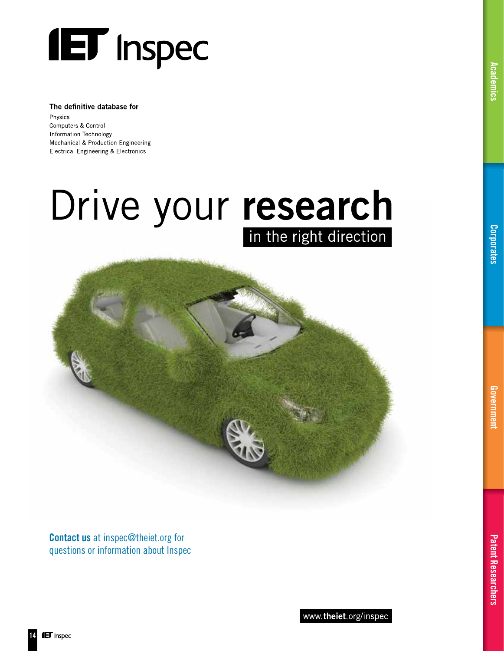

#### The definitive database for

Physics Computers & Control Information Technology Mechanical & Production Engineering **Electrical Engineering & Electronics** 

## Drive your research in the right direction



Contact us at inspec@theiet.org for questions or information about Inspec [Academics](#page-14-0)

Academics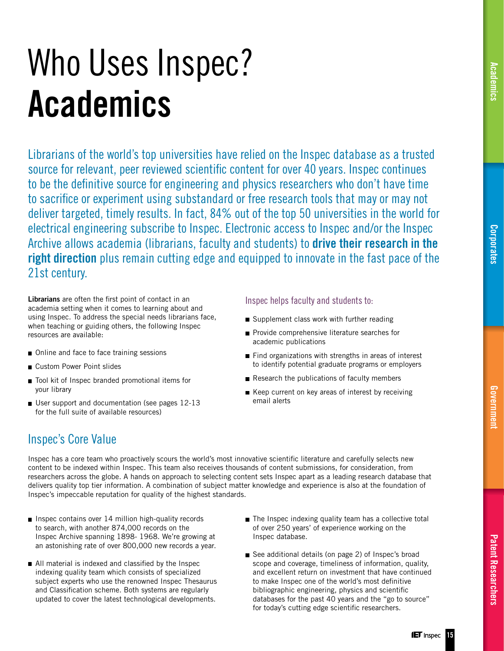## <span id="page-14-0"></span>Who Uses Inspec? Academics

Librarians of the world's top universities have relied on the Inspec database as a trusted source for relevant, peer reviewed scientific content for over 40 years. Inspec continues to be the definitive source for engineering and physics researchers who don't have time to sacrifice or experiment using substandard or free research tools that may or may not deliver targeted, timely results. In fact, 84% out of the top 50 universities in the world for electrical engineering subscribe to Inspec. Electronic access to Inspec and/or the Inspec Archive allows academia (librarians, faculty and students) to drive their research in the right direction plus remain cutting edge and equipped to innovate in the fast pace of the 21st century.

Librarians are often the first point of contact in an academia setting when it comes to learning about and using Inspec. To address the special needs librarians face, when teaching or guiding others, the following Inspec resources are available:

- Online and face to face training sessions
- Custom Power Point slides
- Tool kit of Inspec branded promotional items for your library
- User support and documentation (see pages 12-13 for the full suite of available resources)

### Inspec helps faculty and students to:

- Supplement class work with further reading
- Provide comprehensive literature searches for academic publications
- Find organizations with strengths in areas of interest to identify potential graduate programs or employers
- Research the publications of faculty members
- $\blacksquare$  Keep current on key areas of interest by receiving email alerts

### Inspec's Core Value

Inspec has a core team who proactively scours the world's most innovative scientific literature and carefully selects new content to be indexed within Inspec. This team also receives thousands of content submissions, for consideration, from researchers across the globe. A hands on approach to selecting content sets Inspec apart as a leading research database that delivers quality top tier information. A combination of subject matter knowledge and experience is also at the foundation of Inspec's impeccable reputation for quality of the highest standards.

- $\blacksquare$  Inspec contains over 14 million high-quality records to search, with another 874,000 records on the Inspec Archive spanning 1898- 1968. We're growing at an astonishing rate of over 800,000 new records a year.
- $\blacksquare$  All material is indexed and classified by the Inspec indexing quality team which consists of specialized subject experts who use the renowned Inspec Thesaurus and Classification scheme. Both systems are regularly updated to cover the latest technological developments.
- The Inspec indexing quality team has a collective total of over 250 years' of experience working on the Inspec database.
- See additional details (on page 2) of Inspec's broad scope and coverage, timeliness of information, quality, and excellent return on investment that have continued to make Inspec one of the world's most definitive bibliographic engineering, physics and scientific databases for the past 40 years and the "go to source" for today's cutting edge scientific researchers.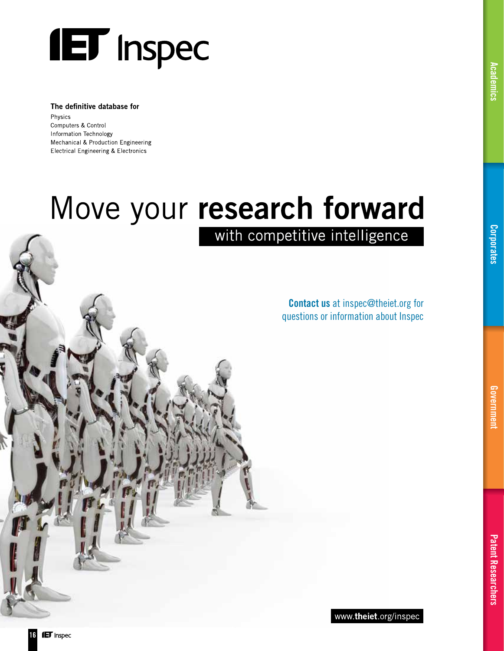

#### The definitive database for

Physics Computers & Control Information Technology Mechanical & Production Engineering **Electrical Engineering & Electronics** 

## Move your research forward

with competitive intelligence

Contact us at inspec@theiet.org for questions or information about Inspec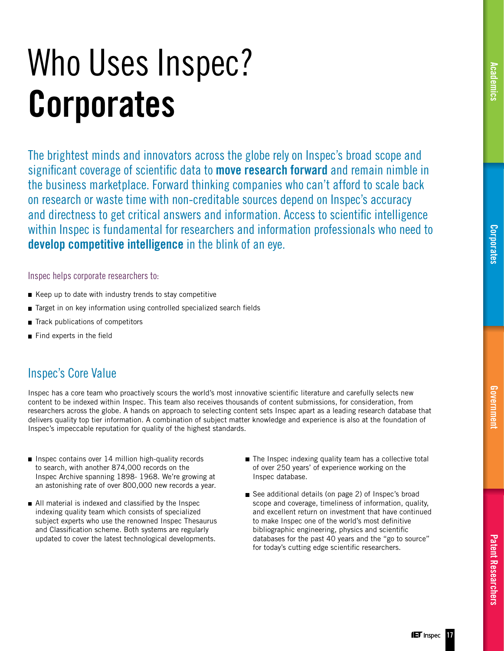## <span id="page-16-0"></span>Who Uses Inspec? **Corporates**

The brightest minds and innovators across the globe rely on Inspec's broad scope and significant coverage of scientific data to **move research forward** and remain nimble in the business marketplace. Forward thinking companies who can't afford to scale back on research or waste time with non-creditable sources depend on Inspec's accuracy and directness to get critical answers and information. Access to scientific intelligence within Inspec is fundamental for researchers and information professionals who need to develop competitive intelligence in the blink of an eye.

### Inspec helps corporate researchers to:

- $\blacksquare$  Keep up to date with industry trends to stay competitive
- $\blacksquare$  Target in on key information using controlled specialized search fields
- Track publications of competitors
- $\blacksquare$  Find experts in the field

### Inspec's Core Value

Inspec has a core team who proactively scours the world's most innovative scientific literature and carefully selects new content to be indexed within Inspec. This team also receives thousands of content submissions, for consideration, from researchers across the globe. A hands on approach to selecting content sets Inspec apart as a leading research database that delivers quality top tier information. A combination of subject matter knowledge and experience is also at the foundation of Inspec's impeccable reputation for quality of the highest standards.

- $\blacksquare$  Inspec contains over 14 million high-quality records to search, with another 874,000 records on the Inspec Archive spanning 1898- 1968. We're growing at an astonishing rate of over 800,000 new records a year.
- $\blacksquare$  All material is indexed and classified by the Inspec indexing quality team which consists of specialized subject experts who use the renowned Inspec Thesaurus and Classification scheme. Both systems are regularly updated to cover the latest technological developments.
- The Inspec indexing quality team has a collective total of over 250 years' of experience working on the Inspec database.
- See additional details (on page 2) of Inspec's broad scope and coverage, timeliness of information, quality, and excellent return on investment that have continued to make Inspec one of the world's most definitive bibliographic engineering, physics and scientific databases for the past 40 years and the "go to source" for today's cutting edge scientific researchers.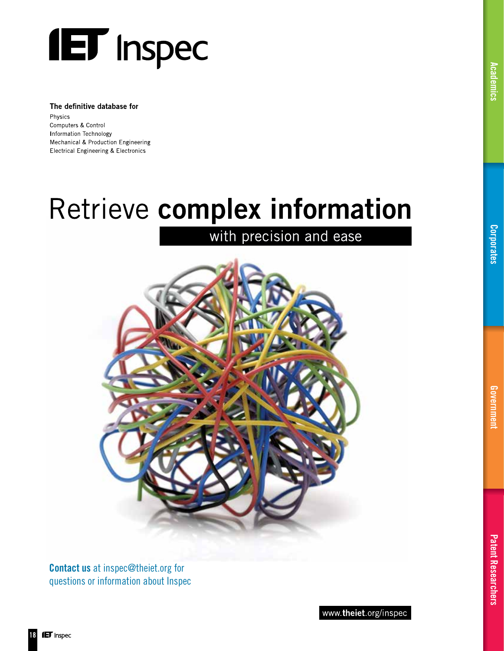

#### The definitive database for

Physics Computers & Control Information Technology Mechanical & Production Engineering **Electrical Engineering & Electronics** 

## Retrieve complex information

## with precision and ease



Contact us at inspec@theiet.org for questions or information about Inspec [Academics](#page-14-0)

Academics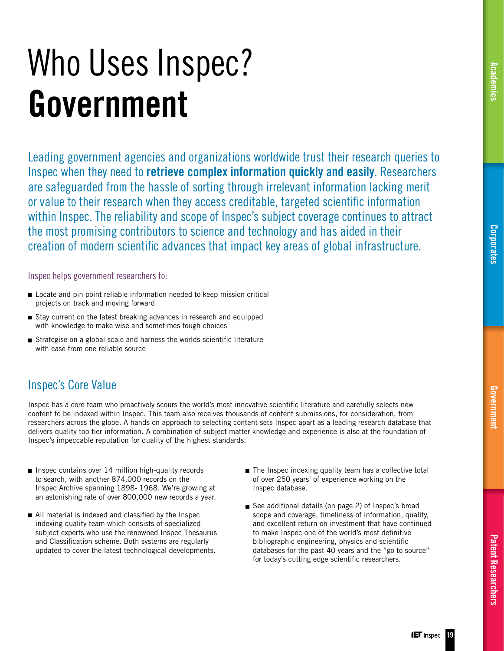## <span id="page-18-0"></span>Who Uses Inspec? Government

Leading government agencies and organizations worldwide trust their research queries to Inspec when they need to retrieve complex information quickly and easily. Researchers are safeguarded from the hassle of sorting through irrelevant information lacking merit or value to their research when they access creditable, targeted scientific information within Inspec. The reliability and scope of Inspec's subject coverage continues to attract the most promising contributors to science and technology and has aided in their creation of modern scientific advances that impact key areas of global infrastructure.

Inspec helps government researchers to:

- Locate and pin point reliable information needed to keep mission critical projects on track and moving forward
- Stay current on the latest breaking advances in research and equipped with knowledge to make wise and sometimes tough choices
- $\blacksquare$  Strategise on a global scale and harness the worlds scientific literature with ease from one reliable source

### Inspec's Core Value

Inspec has a core team who proactively scours the world's most innovative scientific literature and carefully selects new content to be indexed within Inspec. This team also receives thousands of content submissions, for consideration, from researchers across the globe. A hands on approach to selecting content sets Inspec apart as a leading research database that delivers quality top tier information. A combination of subject matter knowledge and experience is also at the foundation of Inspec's impeccable reputation for quality of the highest standards.

- $\blacksquare$  Inspec contains over 14 million high-quality records to search, with another 874,000 records on the Inspec Archive spanning 1898- 1968. We're growing at an astonishing rate of over 800,000 new records a year.
- $\blacksquare$  All material is indexed and classified by the Inspec indexing quality team which consists of specialized subject experts who use the renowned Inspec Thesaurus and Classification scheme. Both systems are regularly updated to cover the latest technological developments.
- The Inspec indexing quality team has a collective total of over 250 years' of experience working on the Inspec database.
- See additional details (on page 2) of Inspec's broad scope and coverage, timeliness of information, quality, and excellent return on investment that have continued to make Inspec one of the world's most definitive bibliographic engineering, physics and scientific databases for the past 40 years and the "go to source" for today's cutting edge scientific researchers.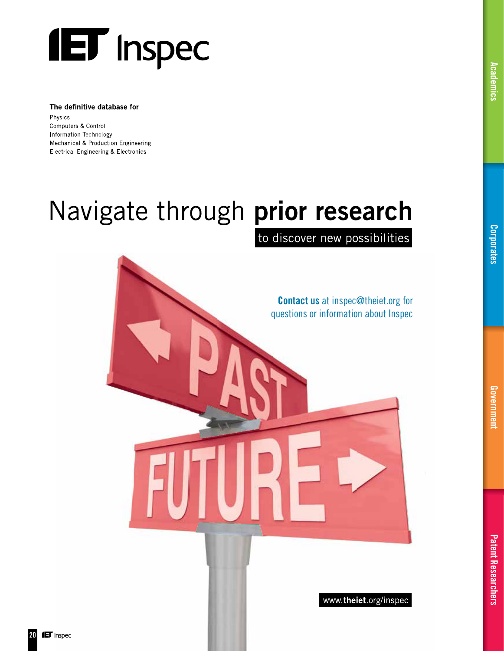

#### The definitive database for

Physics Computers & Control Information Technology Mechanical & Production Engineering **Electrical Engineering & Electronics** 

## Navigate through prior research

to discover new possibilities

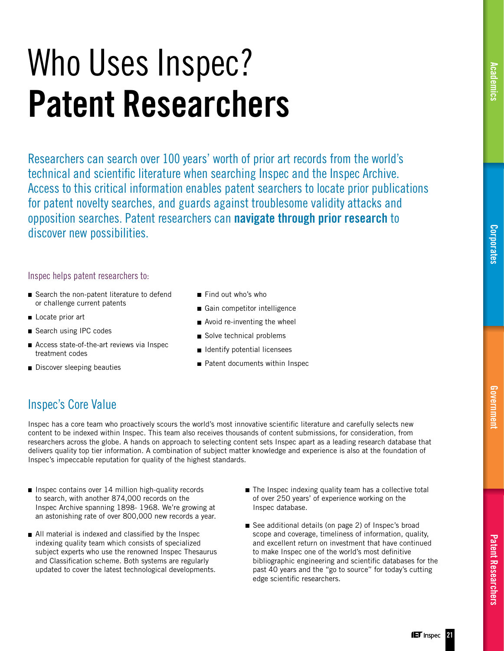## <span id="page-20-0"></span>Who Uses Inspec? Patent Researchers

Researchers can search over 100 years' worth of prior art records from the world's technical and scientific literature when searching Inspec and the Inspec Archive. Access to this critical information enables patent searchers to locate prior publications for patent novelty searches, and guards against troublesome validity attacks and opposition searches. Patent researchers can navigate through prior research to discover new possibilities.

### Inspec helps patent researchers to:

- Search the non-patent literature to defend or challenge current patents
- Locate prior art
- Search using IPC codes
- Access state-of-the-art reviews via Inspec treatment codes
- Discover sleeping beauties
- Find out who's who
- Gain competitor intelligence
- Avoid re-inventing the wheel
- Solve technical problems
- $\blacksquare$  Identify potential licensees
- Patent documents within Inspec

### Inspec's Core Value

Inspec has a core team who proactively scours the world's most innovative scientific literature and carefully selects new content to be indexed within Inspec. This team also receives thousands of content submissions, for consideration, from researchers across the globe. A hands on approach to selecting content sets Inspec apart as a leading research database that delivers quality top tier information. A combination of subject matter knowledge and experience is also at the foundation of Inspec's impeccable reputation for quality of the highest standards.

- Inspec contains over 14 million high-quality records to search, with another 874,000 records on the Inspec Archive spanning 1898- 1968. We're growing at an astonishing rate of over 800,000 new records a year.
- $\blacksquare$  All material is indexed and classified by the Inspec indexing quality team which consists of specialized subject experts who use the renowned Inspec Thesaurus and Classification scheme. Both systems are regularly updated to cover the latest technological developments.
- The Inspec indexing quality team has a collective total of over 250 years' of experience working on the Inspec database.
- See additional details (on page 2) of Inspec's broad scope and coverage, timeliness of information, quality, and excellent return on investment that have continued to make Inspec one of the world's most definitive bibliographic engineering and scientific databases for the past 40 years and the "go to source" for today's cutting edge scientific researchers.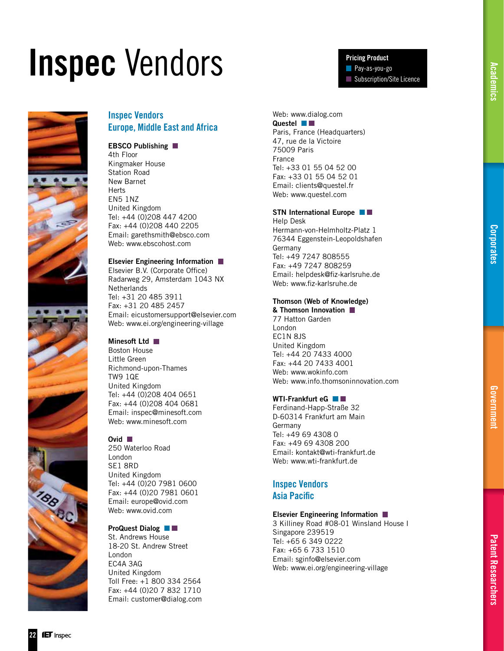## <span id="page-21-0"></span>Inspec Vendors



### Inspec Vendors Europe, Middle East and Africa

### EBSCO Publishing

4th Floor Kingmaker House Station Road New Barnet **Herts** EN5 1NZ United Kingdom Tel: +44 (0)208 447 4200 Fax: +44 (0)208 440 2205 Email: garethsmith@ebsco.com Web: www.ebscohost.com

### Elsevier Engineering Information

Elsevier B.V. (Corporate Office) Radarweg 29, Amsterdam 1043 NX **Netherlands** Tel: +31 20 485 3911 Fax: +31 20 485 2457 Email: eicustomersupport@elsevier.com Web: www.ei.org/engineering-village

### Minesoft Ltd III

Boston House Little Green Richmond-upon-Thames TW9 1QE United Kingdom Tel: +44 (0)208 404 0651 Fax: +44 (0)208 404 0681 Email: inspec@minesoft.com Web: www.minesoft.com

### Ovid **II**

250 Waterloo Road London SE1 8RD United Kingdom Tel: +44 (0)20 7981 0600 Fax: +44 (0)20 7981 0601 Email: europe@ovid.com Web: www.ovid.com

### ProQuest Dialog

St. Andrews House 18-20 St. Andrew Street London EC4A 3AG United Kingdom Toll Free: +1 800 334 2564 Fax: +44 (0)20 7 832 1710 Email: customer@dialog.com

#### Web: www.dialog.com Questel **N**

Paris, France (Headquarters) 47, rue de la Victoire 75009 Paris France Tel: +33 01 55 04 52 00 Fax: +33 01 55 04 52 01 Email: clients@questel.fr Web: www.questel.com

Pricing Product Pay-as-you-go

Subscription/Site Licence

#### STN International Europe

Help Desk Hermann-von-Helmholtz-Platz 1 76344 Eggenstein-Leopoldshafen Germany Tel: +49 7247 808555 Fax: +49 7247 808259 Email: helpdesk@fiz-karlsruhe.de Web: www.fiz-karlsruhe.de

### Thomson (Web of Knowledge)

& Thomson Innovation 77 Hatton Garden London EC1N 8JS United Kingdom Tel: +44 20 7433 4000 Fax: +44 20 7433 4001 Web: www.wokinfo.com Web: www.info.thomsoninnovation.com

### WTI-Frankfurt eG

Ferdinand-Happ-Straße 32 D-60314 Frankfurt am Main Germany Tel: +49 69 4308 0 Fax: +49 69 4308 200 Email: kontakt@wti-frankfurt.de Web: www.wti-frankfurt.de

### Inspec Vendors **Asia Pacific**

#### Elsevier Engineering Information

3 Killiney Road #08-01 Winsland House I Singapore 239519 Tel: +65 6 349 0222 Fax: +65 6 733 1510 Email: sginfo@elsevier.com Web: www.ei.org/engineering-village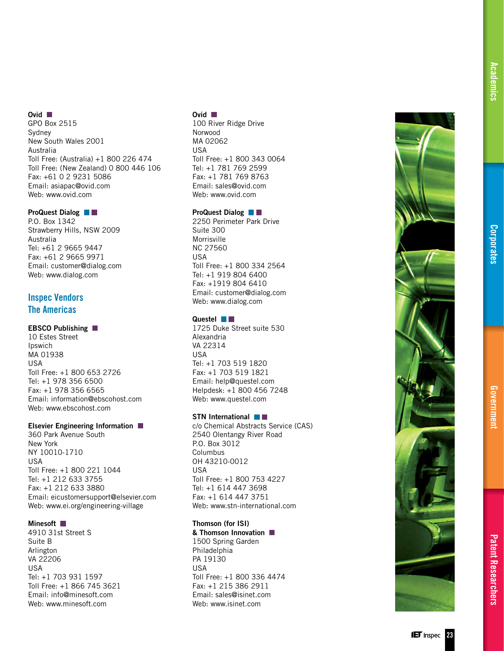### Ovid **N**

GPO Box 2515 Sydney New South Wales 2001 Australia Toll Free: (Australia) +1 800 226 474 Toll Free: (New Zealand) 0 800 446 106 Fax: +61 0 2 9231 5086 Email: asiapac@ovid.com Web: www.ovid.com

#### ProQuest Dialog

P.O. Box 1342 Strawberry Hills, NSW 2009 Australia Tel: +61 2 9665 9447 Fax: +61 2 9665 9971 Email: customer@dialog.com Web: www.dialog.com

### Inspec Vendors The Americas

### EBSCO Publishing

10 Estes Street Ipswich MA 01938 USA Toll Free: +1 800 653 2726 Tel: +1 978 356 6500 Fax: +1 978 356 6565 Email: information@ebscohost.com Web: www.ebscohost.com

#### Elsevier Engineering Information

360 Park Avenue South New York NY 10010-1710 USA Toll Free: +1 800 221 1044 Tel: +1 212 633 3755 Fax: +1 212 633 3880 Email: eicustomersupport@elsevier.com Web: www.ei.org/engineering-village

#### Minesoft **N**

4910 31st Street S Suite B Arlington VA 22206 USA Tel: +1 703 931 1597 Toll Free: +1 866 745 3621 Email: info@minesoft.com Web: www.minesoft.com

#### Ovid **N**

100 River Ridge Drive Norwood MA 02062 USA Toll Free: +1 800 343 0064 Tel: +1 781 769 2599 Fax: +1 781 769 8763 Email: sales@ovid.com Web: www.ovid.com

### ProQuest Dialog **II**

2250 Perimeter Park Drive Suite 300 Morrisville NC 27560 USA Toll Free: +1 800 334 2564 Tel: +1 919 804 6400 Fax: +1919 804 6410 Email: customer@dialog.com Web: www.dialog.com

### Questel **NN**

1725 Duke Street suite 530 Alexandria VA 22314 USA Tel: +1 703 519 1820 Fax: +1 703 519 1821 Email: help@questel.com Helpdesk: +1 800 456 7248 Web: www.questel.com

#### STN International **N**

c/o Chemical Abstracts Service (CAS) 2540 Olentangy River Road P.O. Box 3012 Columbus OH 43210-0012 USA Toll Free: +1 800 753 4227 Tel: +1 614 447 3698 Fax: +1 614 447 3751 Web: www.stn-international.com

### Thomson (for ISI)

#### & Thomson Innovation 1500 Spring Garden

Philadelphia PA 19130 USA Toll Free: +1 800 336 4474 Fax: +1 215 386 2911 Email: sales@isinet.com Web: www.isinet.com